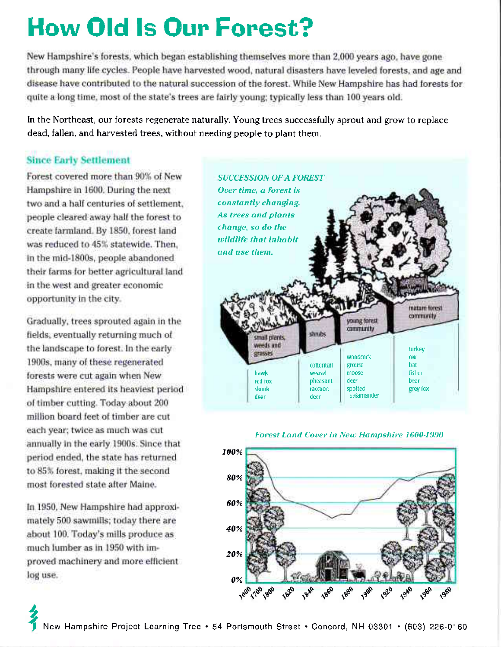# How Old ls Oun Fonest?

New Hampshire's forests, which began establishing themselves more than 2,000 years ago, have gone through many life cycles. People have harvested wood, natural disasters have leveled forests, and age and disease have contributed to the natural succession of the forest. While New Hampshire has had forests for quite a long time, most of the state's trees are fairly young; typically less than 100 years old.

In the Northeast, our forests regenerate naturally. Young trees successfully sprout and grow to replace dead, fallen, and harvested trees, without needing people to plant them.

#### Since Early Settlement

Forest covered more than 90% of New Hampshire in 1600. During the next two and a half centuries ol settlement, people cleared away half the forest to create farmland. By 1850, forest land was reduced to 45% statewide. Then, in the mid-1800s, people abandoned their farms for better agricultural land in the west and greater economic opportunity in the city

Gradually, trees sprouted again in the fields, eventually returning much of the landscape to forest. ln the early 1900s, many of these regenerated forests were cut again when New Hampshire entered its heaviest period of timber cutting. Today about 200 million board feet ol timber are cut each year; twice as much was cut annually in the early 1900s. Since that period ended, the state has returned to 85% forest, making it the second most forested state after Maine.

ln 1950, New Hampshire had approximately 500 sawmills; today there are about 100. Today's mills produce as much lumber as in 1950 with improved machinery and more eflicient log use.





#### Forest Land Cover in New Hampshire 1600-1990